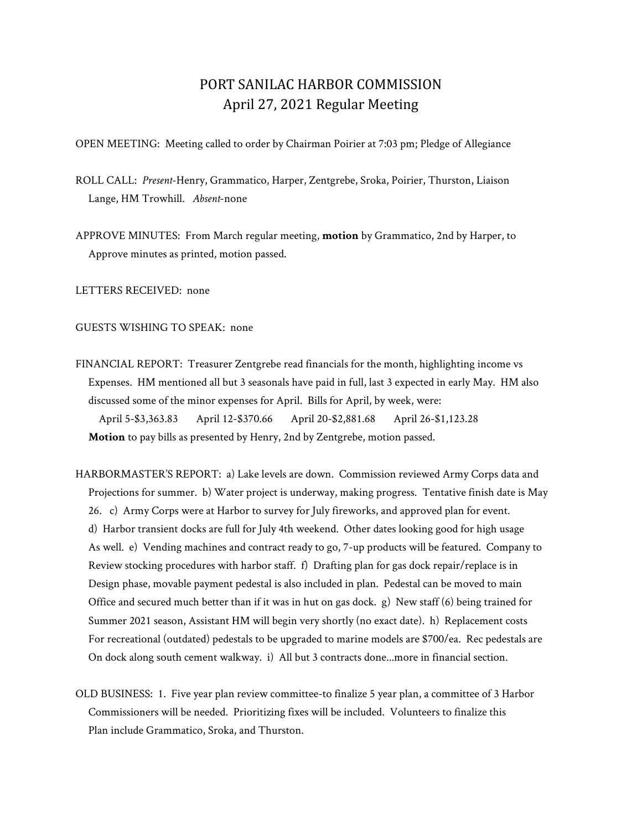## PORT SANILAC HARBOR COMMISSION April 27, 2021 Regular Meeting

OPEN MEETING: Meeting called to order by Chairman Poirier at 7:03 pm; Pledge of Allegiance

ROLL CALL: *Present*-Henry, Grammatico, Harper, Zentgrebe, Sroka, Poirier, Thurston, Liaison Lange, HM Trowhill. *Absent*-none

APPROVE MINUTES: From March regular meeting, **motion** by Grammatico, 2nd by Harper, to Approve minutes as printed, motion passed.

LETTERS RECEIVED: none

GUESTS WISHING TO SPEAK: none

FINANCIAL REPORT: Treasurer Zentgrebe read financials for the month, highlighting income vs Expenses. HM mentioned all but 3 seasonals have paid in full, last 3 expected in early May. HM also discussed some of the minor expenses for April. Bills for April, by week, were: April 5-\$3,363.83 April 12-\$370.66 April 20-\$2,881.68 April 26-\$1,123.28 **Motion** to pay bills as presented by Henry, 2nd by Zentgrebe, motion passed.

HARBORMASTER'S REPORT: a) Lake levels are down. Commission reviewed Army Corps data and Projections for summer. b) Water project is underway, making progress. Tentative finish date is May 26. c) Army Corps were at Harbor to survey for July fireworks, and approved plan for event. d) Harbor transient docks are full for July 4th weekend. Other dates looking good for high usage As well. e) Vending machines and contract ready to go, 7-up products will be featured. Company to Review stocking procedures with harbor staff. f) Drafting plan for gas dock repair/replace is in Design phase, movable payment pedestal is also included in plan. Pedestal can be moved to main Office and secured much better than if it was in hut on gas dock. g) New staff (6) being trained for Summer 2021 season, Assistant HM will begin very shortly (no exact date). h) Replacement costs For recreational (outdated) pedestals to be upgraded to marine models are \$700/ea. Rec pedestals are On dock along south cement walkway. i) All but 3 contracts done...more in financial section.

OLD BUSINESS: 1. Five year plan review committee-to finalize 5 year plan, a committee of 3 Harbor Commissioners will be needed. Prioritizing fixes will be included. Volunteers to finalize this Plan include Grammatico, Sroka, and Thurston.